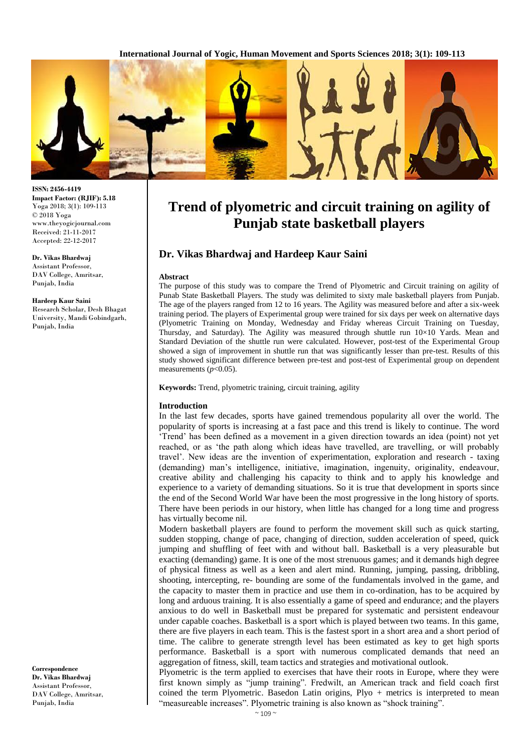**International Journal of Yogic, Human Movement and Sports Sciences 2018; 3(1): 109-113**



**ISSN: 2456-4419 Impact Factor: (RJIF): 5.18** Yoga 2018; 3(1): 109-113 © 2018 Yoga www.theyogicjournal.com Received: 21-11-2017 Accepted: 22-12-2017

**Dr. Vikas Bhardwaj** Assistant Professor, DAV College, Amritsar, Punjab, India

#### **Hardeep Kaur Saini**

Research Scholar, Desh Bhagat University, Mandi Gobindgarh, Punjab, India

**Correspondence Dr. Vikas Bhardwaj** Assistant Professor, DAV College, Amritsar, Punjab, India

# **Trend of plyometric and circuit training on agility of Punjab state basketball players**

# **Dr. Vikas Bhardwaj and Hardeep Kaur Saini**

#### **Abstract**

The purpose of this study was to compare the Trend of Plyometric and Circuit training on agility of Punab State Basketball Players. The study was delimited to sixty male basketball players from Punjab. The age of the players ranged from 12 to 16 years. The Agility was measured before and after a six-week training period. The players of Experimental group were trained for six days per week on alternative days (Plyometric Training on Monday, Wednesday and Friday whereas Circuit Training on Tuesday, Thursday, and Saturday). The Agility was measured through shuttle run  $10\times10$  Yards. Mean and Standard Deviation of the shuttle run were calculated. However, post-test of the Experimental Group showed a sign of improvement in shuttle run that was significantly lesser than pre-test. Results of this study showed significant difference between pre-test and post-test of Experimental group on dependent measurements  $(p<0.05)$ .

**Keywords:** Trend, plyometric training, circuit training, agility

#### **Introduction**

In the last few decades, sports have gained tremendous popularity all over the world. The popularity of sports is increasing at a fast pace and this trend is likely to continue. The word 'Trend' has been defined as a movement in a given direction towards an idea (point) not yet reached, or as 'the path along which ideas have travelled, are travelling, or will probably travel'. New ideas are the invention of experimentation, exploration and research - taxing (demanding) man's intelligence, initiative, imagination, ingenuity, originality, endeavour, creative ability and challenging his capacity to think and to apply his knowledge and experience to a variety of demanding situations. So it is true that development in sports since the end of the Second World War have been the most progressive in the long history of sports. There have been periods in our history, when little has changed for a long time and progress has virtually become nil.

Modern basketball players are found to perform the movement skill such as quick starting, sudden stopping, change of pace, changing of direction, sudden acceleration of speed, quick jumping and shuffling of feet with and without ball. Basketball is a very pleasurable but exacting (demanding) game. It is one of the most strenuous games; and it demands high degree of physical fitness as well as a keen and alert mind. Running, jumping, passing, dribbling, shooting, intercepting, re- bounding are some of the fundamentals involved in the game, and the capacity to master them in practice and use them in co-ordination, has to be acquired by long and arduous training. It is also essentially a game of speed and endurance; and the players anxious to do well in Basketball must be prepared for systematic and persistent endeavour under capable coaches. Basketball is a sport which is played between two teams. In this game, there are five players in each team. This is the fastest sport in a short area and a short period of time. The calibre to generate strength level has been estimated as key to get high sports performance. Basketball is a sport with numerous complicated demands that need an aggregation of fitness, skill, team tactics and strategies and motivational outlook.

Plyometric is the term applied to exercises that have their roots in Europe, where they were first known simply as "jump training". Fredwilt, an American track and field coach first coined the term Plyometric. Basedon Latin origins,  $P\mu v +$  metrics is interpreted to mean "measureable increases". Plyometric training is also known as "shock training".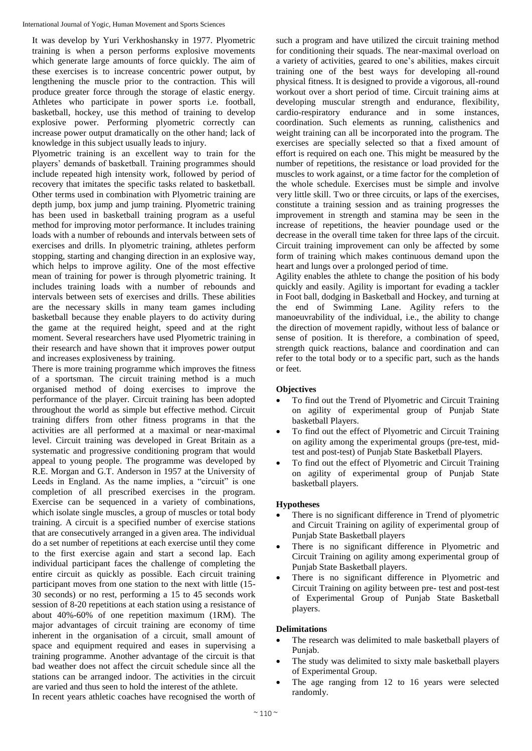It was develop by Yuri Verkhoshansky in 1977. Plyometric training is when a person performs explosive movements which generate large amounts of force quickly. The aim of these exercises is to increase concentric power output, by lengthening the muscle prior to the contraction. This will produce greater force through the storage of elastic energy. Athletes who participate in power sports i.e. football, basketball, hockey, use this method of training to develop explosive power. Performing plyometric correctly can increase power output dramatically on the other hand; lack of knowledge in this subject usually leads to injury.

Plyometric training is an excellent way to train for the players' demands of basketball. Training programmes should include repeated high intensity work, followed by period of recovery that imitates the specific tasks related to basketball. Other terms used in combination with Plyometric training are depth jump, box jump and jump training. Plyometric training has been used in basketball training program as a useful method for improving motor performance. It includes training loads with a number of rebounds and intervals between sets of exercises and drills. In plyometric training, athletes perform stopping, starting and changing direction in an explosive way, which helps to improve agility. One of the most effective mean of training for power is through plyometric training. It includes training loads with a number of rebounds and intervals between sets of exercises and drills. These abilities are the necessary skills in many team games including basketball because they enable players to do activity during the game at the required height, speed and at the right moment. Several researchers have used Plyometric training in their research and have shown that it improves power output and increases explosiveness by training.

There is more training programme which improves the fitness of a sportsman. The circuit training method is a much organised method of doing exercises to improve the performance of the player. Circuit training has been adopted throughout the world as simple but effective method. Circuit training differs from other fitness programs in that the activities are all performed at a maximal or near-maximal level. Circuit training was developed in Great Britain as a systematic and progressive conditioning program that would appeal to young people. The programme was developed by R.E. Morgan and G.T. Anderson in 1957 at the University of Leeds in England. As the name implies, a "circuit" is one completion of all prescribed exercises in the program. Exercise can be sequenced in a variety of combinations, which isolate single muscles, a group of muscles or total body training. A circuit is a specified number of exercise stations that are consecutively arranged in a given area. The individual do a set number of repetitions at each exercise until they come to the first exercise again and start a second lap. Each individual participant faces the challenge of completing the entire circuit as quickly as possible. Each circuit training participant moves from one station to the next with little (15- 30 seconds) or no rest, performing a 15 to 45 seconds work session of 8-20 repetitions at each station using a resistance of about 40%-60% of one repetition maximum (1RM). The major advantages of circuit training are economy of time inherent in the organisation of a circuit, small amount of space and equipment required and eases in supervising a training programme. Another advantage of the circuit is that bad weather does not affect the circuit schedule since all the stations can be arranged indoor. The activities in the circuit are varied and thus seen to hold the interest of the athlete. In recent years athletic coaches have recognised the worth of

such a program and have utilized the circuit training method for conditioning their squads. The near-maximal overload on a variety of activities, geared to one's abilities, makes circuit training one of the best ways for developing all-round physical fitness. It is designed to provide a vigorous, all-round workout over a short period of time. Circuit training aims at developing muscular strength and endurance, flexibility, cardio-respiratory endurance and in some instances, coordination. Such elements as running, calisthenics and weight training can all be incorporated into the program. The exercises are specially selected so that a fixed amount of effort is required on each one. This might be measured by the number of repetitions, the resistance or load provided for the muscles to work against, or a time factor for the completion of the whole schedule. Exercises must be simple and involve very little skill. Two or three circuits, or laps of the exercises, constitute a training session and as training progresses the improvement in strength and stamina may be seen in the increase of repetitions, the heavier poundage used or the decrease in the overall time taken for three laps of the circuit. Circuit training improvement can only be affected by some form of training which makes continuous demand upon the heart and lungs over a prolonged period of time.

Agility enables the athlete to change the position of his body quickly and easily. Agility is important for evading a tackler in Foot ball, dodging in Basketball and Hockey, and turning at the end of Swimming Lane. Agility refers to the manoeuvrability of the individual, i.e., the ability to change the direction of movement rapidly, without less of balance or sense of position. It is therefore, a combination of speed, strength quick reactions, balance and coordination and can refer to the total body or to a specific part, such as the hands or feet.

# **Objectives**

- To find out the Trend of Plyometric and Circuit Training on agility of experimental group of Punjab State basketball Players.
- To find out the effect of Plyometric and Circuit Training on agility among the experimental groups (pre-test, midtest and post-test) of Punjab State Basketball Players.
- To find out the effect of Plyometric and Circuit Training on agility of experimental group of Punjab State basketball players.

# **Hypotheses**

- There is no significant difference in Trend of plyometric and Circuit Training on agility of experimental group of Punjab State Basketball players
- There is no significant difference in Plyometric and Circuit Training on agility among experimental group of Punjab State Basketball players.
- There is no significant difference in Plyometric and Circuit Training on agility between pre- test and post-test of Experimental Group of Punjab State Basketball players.

# **Delimitations**

- The research was delimited to male basketball players of Punjab.
- The study was delimited to sixty male basketball players of Experimental Group.
- The age ranging from 12 to 16 years were selected randomly.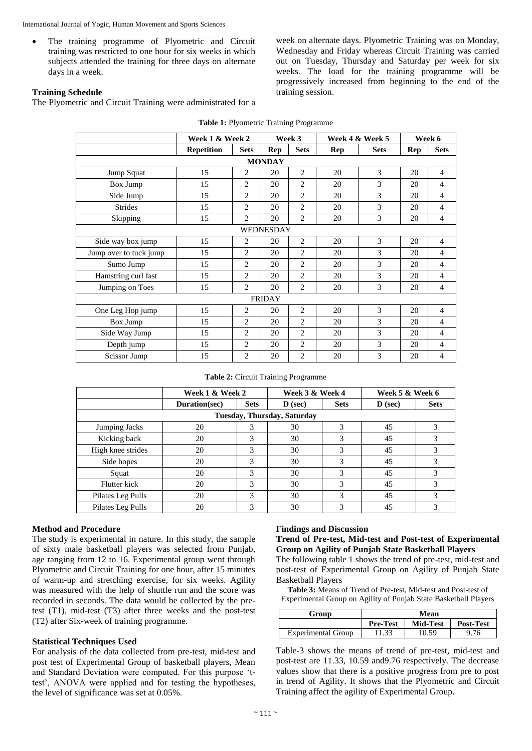International Journal of Yogic, Human Movement and Sports Sciences

• The training programme of Plyometric and Circuit training was restricted to one hour for six weeks in which subjects attended the training for three days on alternate days in a week.

**Training Schedule** 

The Plyometric and Circuit Training were administrated for a

|                        | Week 1 & Week 2   |                |     | Week 3         | Week 4 & Week 5 |             | Week 6     |                |
|------------------------|-------------------|----------------|-----|----------------|-----------------|-------------|------------|----------------|
|                        | <b>Repetition</b> | <b>Sets</b>    | Rep | <b>Sets</b>    | Rep             | <b>Sets</b> | <b>Rep</b> | <b>Sets</b>    |
| <b>MONDAY</b>          |                   |                |     |                |                 |             |            |                |
| Jump Squat             | 15                | 2              | 20  | $\overline{2}$ | 20              | 3           | 20         | $\overline{4}$ |
| Box Jump               | 15                | $\overline{2}$ | 20  | $\overline{2}$ | 20              | 3           | 20         | $\overline{4}$ |
| Side Jump              | 15                | $\overline{c}$ | 20  | $\overline{c}$ | 20              | 3           | 20         | 4              |
| <b>Strides</b>         | 15                | $\overline{2}$ | 20  | $\overline{c}$ | 20              | 3           | 20         | $\overline{4}$ |
| Skipping               | 15                | $\overline{2}$ | 20  | $\overline{2}$ | 20              | 3           | 20         | $\overline{4}$ |
| <b>WEDNESDAY</b>       |                   |                |     |                |                 |             |            |                |
| Side way box jump      | 15                | $\overline{c}$ | 20  | $\overline{c}$ | 20              | 3           | 20         | $\overline{4}$ |
| Jump over to tuck jump | 15                | $\overline{2}$ | 20  | $\overline{2}$ | 20              | 3           | 20         | $\overline{4}$ |
| Sumo Jump              | 15                | $\overline{2}$ | 20  | $\overline{2}$ | 20              | 3           | 20         | $\overline{4}$ |
| Hamstring curl fast    | 15                | $\overline{c}$ | 20  | $\overline{c}$ | 20              | 3           | 20         | $\overline{4}$ |
| Jumping on Toes        | 15                | $\overline{c}$ | 20  | $\overline{c}$ | 20              | 3           | 20         | $\overline{4}$ |
| <b>FRIDAY</b>          |                   |                |     |                |                 |             |            |                |
| One Leg Hop jump       | 15                | $\overline{2}$ | 20  | $\overline{2}$ | 20              | 3           | 20         | $\overline{4}$ |
| Box Jump               | 15                | $\overline{2}$ | 20  | $\overline{c}$ | 20              | 3           | 20         | $\overline{4}$ |
| Side Way Jump          | 15                | $\overline{2}$ | 20  | $\overline{2}$ | 20              | 3           | 20         | $\overline{4}$ |
| Depth jump             | 15                | $\overline{2}$ | 20  | $\overline{2}$ | 20              | 3           | 20         | $\overline{4}$ |
| Scissor Jump           | 15                | $\overline{2}$ | 20  | $\overline{2}$ | 20              | 3           | 20         | 4              |

| Table 1: Plyometric Training Programme |
|----------------------------------------|
|----------------------------------------|

training session.

|  | Table 2: Circuit Training Programme |
|--|-------------------------------------|
|--|-------------------------------------|

|                   | Week 1 & Week 2             |             | Week 3 & Week 4 |             | Week 5 & Week 6 |               |  |
|-------------------|-----------------------------|-------------|-----------------|-------------|-----------------|---------------|--|
|                   | Duration(sec)               | <b>Sets</b> | $\bf{D}$ (sec)  | <b>Sets</b> | $\bf{D}$ (sec)  | <b>Sets</b>   |  |
|                   | Tuesday, Thursday, Saturday |             |                 |             |                 |               |  |
| Jumping Jacks     | 20                          | 3           | 30              | 3           | 45              |               |  |
| Kicking back      | 20                          | 3           | 30              | 3           | 45              | 3             |  |
| High knee strides | 20                          | 3           | 30              | 3           | 45              | 3             |  |
| Side hopes        | 20                          | 3           | 30              | 3           | 45              | 3             |  |
| Squat             | 20                          | 3           | 30              | 3           | 45              | 3             |  |
| Flutter kick      | 20                          | 3           | 30              | 3           | 45              | 3             |  |
| Pilates Leg Pulls | 20                          | 3           | 30              | 3           | 45              | $\mathcal{R}$ |  |
| Pilates Leg Pulls | 20                          | 3           | 30              | 3           | 45              |               |  |

# **Method and Procedure**

The study is experimental in nature. In this study, the sample of sixty male basketball players was selected from Punjab, age ranging from 12 to 16. Experimental group went through Plyometric and Circuit Training for one hour, after 15 minutes of warm-up and stretching exercise, for six weeks. Agility was measured with the help of shuttle run and the score was recorded in seconds. The data would be collected by the pretest (T1), mid-test (T3) after three weeks and the post-test (T2) after Six-week of training programme.

# **Statistical Techniques Used**

For analysis of the data collected from pre-test, mid-test and post test of Experimental Group of basketball players, Mean and Standard Deviation were computed. For this purpose 'ttest', ANOVA were applied and for testing the hypotheses, the level of significance was set at 0.05%.

#### **Findings and Discussion**

**Trend of Pre-test, Mid-test and Post-test of Experimental Group on Agility of Punjab State Basketball Players**

week on alternate days. Plyometric Training was on Monday, Wednesday and Friday whereas Circuit Training was carried out on Tuesday, Thursday and Saturday per week for six weeks. The load for the training programme will be progressively increased from beginning to the end of the

The following table 1 shows the trend of pre-test, mid-test and post-test of Experimental Group on Agility of Punjab State Basketball Players

**Table 3:** Means of Trend of Pre-test, Mid-test and Post-test of Experimental Group on Agility of Punjab State Basketball Players

| Group                     | Mean            |          |                  |  |  |
|---------------------------|-----------------|----------|------------------|--|--|
|                           | <b>Pre-Test</b> | Mid-Test | <b>Post-Test</b> |  |  |
| <b>Experimental Group</b> | 11.33           | 10.59    | 9.76             |  |  |

Table-3 shows the means of trend of pre-test, mid-test and post-test are 11.33, 10.59 and9.76 respectively. The decrease values show that there is a positive progress from pre to post in trend of Agility. It shows that the Plyometric and Circuit Training affect the agility of Experimental Group.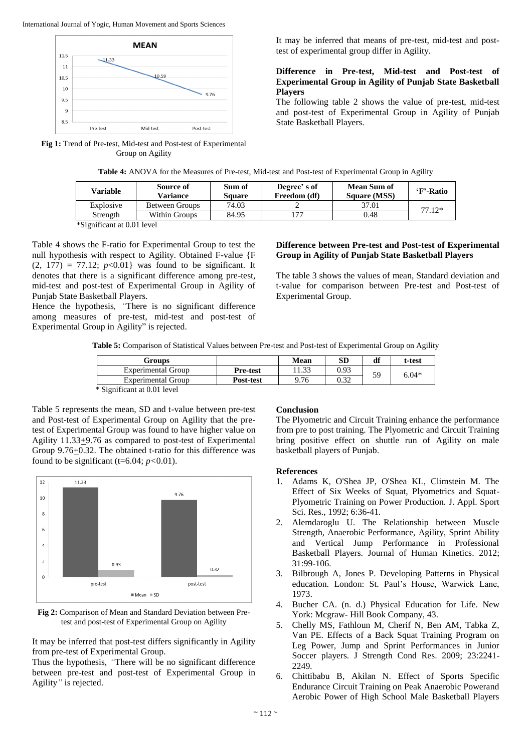

**Fig 1:** Trend of Pre-test, Mid-test and Post-test of Experimental Group on Agility

It may be inferred that means of pre-test, mid-test and posttest of experimental group differ in Agility.

#### **Difference in Pre-test, Mid-test and Post-test of Experimental Group in Agility of Punjab State Basketball Players**

The following table 2 shows the value of pre-test, mid-test and post-test of Experimental Group in Agility of Punjab State Basketball Players.

| Table 4: ANOVA for the Measures of Pre-test, Mid-test and Post-test of Experimental Group in Agility |  |  |
|------------------------------------------------------------------------------------------------------|--|--|
|------------------------------------------------------------------------------------------------------|--|--|

| Variable                                                                 | Source of<br>Variance | Sum of<br>Sauare | Degree's of<br>Freedom (df) | <b>Mean Sum of</b><br><b>Square (MSS)</b> | 'F'-Ratio |
|--------------------------------------------------------------------------|-----------------------|------------------|-----------------------------|-------------------------------------------|-----------|
| Explosive                                                                | <b>Between Groups</b> | 74.03            |                             | 37.01                                     | $77.12*$  |
| Strength                                                                 | Within Groups         | 84.95            |                             | 0.48                                      |           |
| $\sim$ $\sim$ $\sim$ $\sim$<br>$\sim$ $\sim$ $\sim$ $\sim$ $\sim$ $\sim$ |                       |                  |                             |                                           |           |

\*Significant at 0.01 level

Table 4 shows the F-ratio for Experimental Group to test the null hypothesis with respect to Agility. Obtained F-value {F  $(2, 177) = 77.12$ ;  $p < 0.01$ } was found to be significant. It denotes that there is a significant difference among pre-test, mid-test and post-test of Experimental Group in Agility of Punjab State Basketball Players.

Hence the hypothesis*, "*There is no significant difference among measures of pre-test, mid-test and post-test of Experimental Group in Agility" is rejected.

#### **Difference between Pre-test and Post-test of Experimental Group in Agility of Punjab State Basketball Players**

The table 3 shows the values of mean, Standard deviation and t-value for comparison between Pre-test and Post-test of Experimental Group.

**Table 5:** Comparison of Statistical Values between Pre-test and Post-test of Experimental Group on Agility

| Groups                                                                        |                 | Mean  | SD   | df | t-test  |
|-------------------------------------------------------------------------------|-----------------|-------|------|----|---------|
| Experimental Group                                                            | <b>Pre-test</b> | 11.33 | 0.93 | 59 | $6.04*$ |
| <b>Experimental Group</b>                                                     | Post-test       | 9.76  | 0.32 |    |         |
| $\cdot$ $\sim$<br><u>ພິດປ</u><br>$\cdots$ $\alpha$ $\alpha$ $\alpha$ $\alpha$ |                 |       |      |    |         |

\* Significant at 0.01 level

Table 5 represents the mean, SD and t-value between pre-test and Post-test of Experimental Group on Agility that the pretest of Experimental Group was found to have higher value on Agility 11.33+9.76 as compared to post-test of Experimental Group 9.76+0.32. The obtained t-ratio for this difference was found to be significant (t=6.04;  $p < 0.01$ ).



**Fig 2:** Comparison of Mean and Standard Deviation between Pretest and post-test of Experimental Group on Agility

It may be inferred that post-test differs significantly in Agility from pre-test of Experimental Group.

Thus the hypothesis, *"*There will be no significant difference between pre-test and post-test of Experimental Group in Agility*"* is rejected.

# **Conclusion**

The Plyometric and Circuit Training enhance the performance from pre to post training. The Plyometric and Circuit Training bring positive effect on shuttle run of Agility on male basketball players of Punjab.

#### **References**

- 1. Adams K, O'Shea JP, O'Shea KL, Climstein M. The Effect of Six Weeks of Squat, Plyometrics and Squat-Plyometric Training on Power Production. J. Appl. Sport Sci. Res., 1992; 6:36-41*.*
- 2. Alemdaroglu U. The Relationship between Muscle Strength, Anaerobic Performance, Agility, Sprint Ability and Vertical Jump Performance in Professional Basketball Players. Journal of Human Kinetics. 2012; 31:99-106.
- 3. Bilbrough A, Jones P. Developing Patterns in Physical education. London: St. Paul's House, Warwick Lane, 1973.
- 4. Bucher CA. (n. d.) Physical Education for Life*.* New York: Mcgraw- Hill Book Company, 43.
- 5. Chelly MS, Fathloun M, Cherif N, Ben AM, Tabka Z, Van PE. Effects of a Back Squat Training Program on Leg Power, Jump and Sprint Performances in Junior Soccer players. J Strength Cond Res. 2009; 23:2241- 2249*.*
- 6. Chittibabu B, Akilan N. Effect of Sports Specific Endurance Circuit Training on Peak Anaerobic Powerand Aerobic Power of High School Male Basketball Players